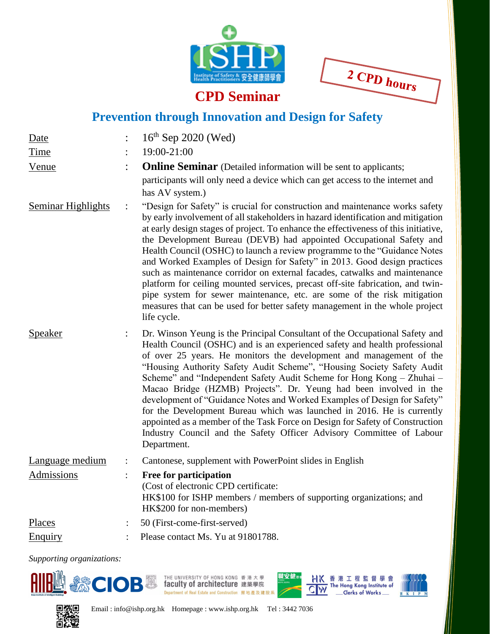



## **CPD Seminar**

## **Prevention through Innovation and Design for Safety**

| Date                      |                | $16^{th}$ Sep 2020 (Wed)                                                                                                                                                                                                                                                                                                                                                                                                                                                                                                                                                                                                                                                                                                                                                                                                         |  |  |
|---------------------------|----------------|----------------------------------------------------------------------------------------------------------------------------------------------------------------------------------------------------------------------------------------------------------------------------------------------------------------------------------------------------------------------------------------------------------------------------------------------------------------------------------------------------------------------------------------------------------------------------------------------------------------------------------------------------------------------------------------------------------------------------------------------------------------------------------------------------------------------------------|--|--|
| Time                      |                | 19:00-21:00                                                                                                                                                                                                                                                                                                                                                                                                                                                                                                                                                                                                                                                                                                                                                                                                                      |  |  |
| Venue                     |                | <b>Online Seminar</b> (Detailed information will be sent to applicants;                                                                                                                                                                                                                                                                                                                                                                                                                                                                                                                                                                                                                                                                                                                                                          |  |  |
|                           |                | participants will only need a device which can get access to the internet and<br>has AV system.)                                                                                                                                                                                                                                                                                                                                                                                                                                                                                                                                                                                                                                                                                                                                 |  |  |
| <b>Seminar Highlights</b> | $\ddot{\cdot}$ | "Design for Safety" is crucial for construction and maintenance works safety<br>by early involvement of all stakeholders in hazard identification and mitigation<br>at early design stages of project. To enhance the effectiveness of this initiative,<br>the Development Bureau (DEVB) had appointed Occupational Safety and<br>Health Council (OSHC) to launch a review programme to the "Guidance Notes<br>and Worked Examples of Design for Safety" in 2013. Good design practices<br>such as maintenance corridor on external facades, catwalks and maintenance<br>platform for ceiling mounted services, precast off-site fabrication, and twin-<br>pipe system for sewer maintenance, etc. are some of the risk mitigation<br>measures that can be used for better safety management in the whole project<br>life cycle. |  |  |
| <b>Speaker</b>            |                | Dr. Winson Yeung is the Principal Consultant of the Occupational Safety and<br>Health Council (OSHC) and is an experienced safety and health professional<br>of over 25 years. He monitors the development and management of the<br>"Housing Authority Safety Audit Scheme", "Housing Society Safety Audit<br>Scheme" and "Independent Safety Audit Scheme for Hong Kong - Zhuhai -<br>Macao Bridge (HZMB) Projects". Dr. Yeung had been involved in the<br>development of "Guidance Notes and Worked Examples of Design for Safety"<br>for the Development Bureau which was launched in 2016. He is currently<br>appointed as a member of the Task Force on Design for Safety of Construction<br>Industry Council and the Safety Officer Advisory Committee of Labour<br>Department.                                            |  |  |
| Language medium           | $\ddot{\cdot}$ | Cantonese, supplement with PowerPoint slides in English                                                                                                                                                                                                                                                                                                                                                                                                                                                                                                                                                                                                                                                                                                                                                                          |  |  |
| Admissions                | $\ddot{\cdot}$ | Free for participation<br>(Cost of electronic CPD certificate:<br>HK\$100 for ISHP members / members of supporting organizations; and<br>HK\$200 for non-members)                                                                                                                                                                                                                                                                                                                                                                                                                                                                                                                                                                                                                                                                |  |  |
| Places                    |                | 50 (First-come-first-served)                                                                                                                                                                                                                                                                                                                                                                                                                                                                                                                                                                                                                                                                                                                                                                                                     |  |  |
| Enquiry                   |                | Please contact Ms. Yu at 91801788.                                                                                                                                                                                                                                                                                                                                                                                                                                                                                                                                                                                                                                                                                                                                                                                               |  |  |

*Supporting organizations:*